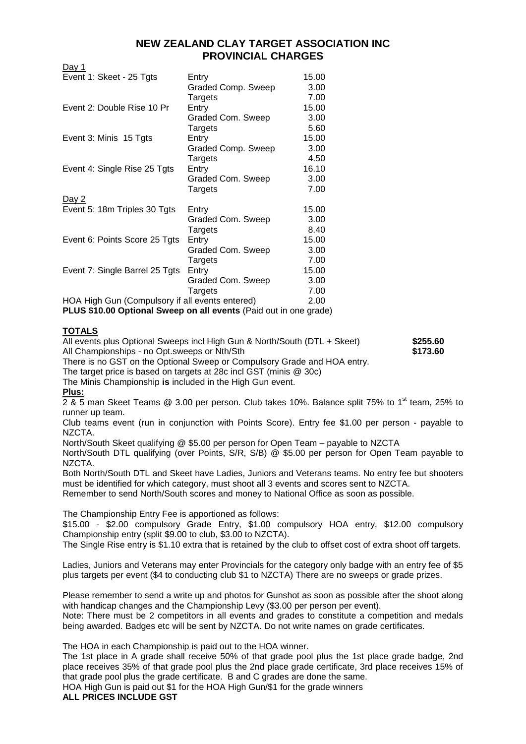## **NEW ZEALAND CLAY TARGET ASSOCIATION INC PROVINCIAL CHARGES**

Day 1

| Event 1: Skeet - 25 Tgts                        | Entry              | 15.00 |
|-------------------------------------------------|--------------------|-------|
|                                                 | Graded Comp. Sweep | 3.00  |
|                                                 | Targets            | 7.00  |
| Event 2: Double Rise 10 Pr                      | Entry              | 15.00 |
|                                                 | Graded Com. Sweep  | 3.00  |
|                                                 | Targets            | 5.60  |
| Event 3: Minis 15 Tgts                          | Entry              | 15.00 |
|                                                 | Graded Comp. Sweep | 3.00  |
|                                                 | Targets            | 4.50  |
| Event 4: Single Rise 25 Tgts                    | Entry              | 16.10 |
|                                                 | Graded Com. Sweep  | 3.00  |
|                                                 | Targets            | 7.00  |
| <u>Day 2</u>                                    |                    |       |
| Event 5: 18m Triples 30 Tgts                    | Entry              | 15.00 |
|                                                 | Graded Com. Sweep  | 3.00  |
|                                                 | Targets            | 8.40  |
| Event 6: Points Score 25 Tgts                   | Entry              | 15.00 |
|                                                 | Graded Com. Sweep  | 3.00  |
|                                                 | Targets            | 7.00  |
| Event 7: Single Barrel 25 Tgts                  | Entry              | 15.00 |
|                                                 | Graded Com. Sweep  | 3.00  |
|                                                 | Targets            | 7.00  |
| HOA High Gun (Compulsory if all events entered) |                    | 2.00  |
|                                                 |                    |       |

**PLUS \$10.00 Optional Sweep on all events** (Paid out in one grade)

## **TOTALS**

All events plus Optional Sweeps incl High Gun & North/South (DTL + Skeet) **\$255.60** All Championships - no Opt.sweeps or Nth/Sth **\$173.60 \$173.60** 

There is no GST on the Optional Sweep or Compulsory Grade and HOA entry.

The target price is based on targets at 28c incl GST (minis @ 30c)

The Minis Championship **is** included in the High Gun event.

## **Plus:**

 $2.8$  5 man Skeet Teams @ 3.00 per person. Club takes 10%. Balance split 75% to 1<sup>st</sup> team, 25% to runner up team.

Club teams event (run in conjunction with Points Score). Entry fee \$1.00 per person - payable to NZCTA.

North/South Skeet qualifying @ \$5.00 per person for Open Team – payable to NZCTA

North/South DTL qualifying (over Points, S/R, S/B) @ \$5.00 per person for Open Team payable to NZCTA.

Both North/South DTL and Skeet have Ladies, Juniors and Veterans teams. No entry fee but shooters must be identified for which category, must shoot all 3 events and scores sent to NZCTA.

Remember to send North/South scores and money to National Office as soon as possible.

The Championship Entry Fee is apportioned as follows:

\$15.00 - \$2.00 compulsory Grade Entry, \$1.00 compulsory HOA entry, \$12.00 compulsory Championship entry (split \$9.00 to club, \$3.00 to NZCTA).

The Single Rise entry is \$1.10 extra that is retained by the club to offset cost of extra shoot off targets.

Ladies, Juniors and Veterans may enter Provincials for the category only badge with an entry fee of \$5 plus targets per event (\$4 to conducting club \$1 to NZCTA) There are no sweeps or grade prizes.

Please remember to send a write up and photos for Gunshot as soon as possible after the shoot along with handicap changes and the Championship Levy (\$3.00 per person per event). Note: There must be 2 competitors in all events and grades to constitute a competition and medals being awarded. Badges etc will be sent by NZCTA. Do not write names on grade certificates.

The HOA in each Championship is paid out to the HOA winner.

The 1st place in A grade shall receive 50% of that grade pool plus the 1st place grade badge, 2nd place receives 35% of that grade pool plus the 2nd place grade certificate, 3rd place receives 15% of that grade pool plus the grade certificate. B and C grades are done the same.

HOA High Gun is paid out \$1 for the HOA High Gun/\$1 for the grade winners **ALL PRICES INCLUDE GST**